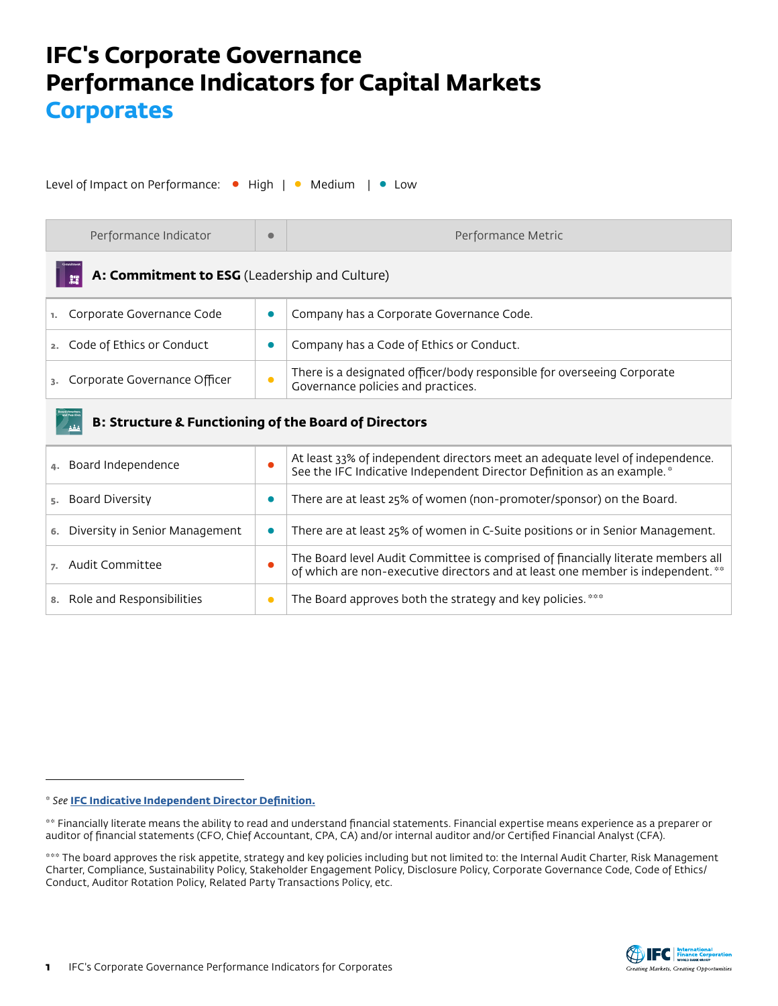## **IFC's Corporate Governance Performance Indicators for Capital Markets Corporates**

Level of Impact on Performance: • High | • Medium | • Low

| Performance Indicator                                           | $\bullet$ | Performance Metric                                                                                                                                                  |  |
|-----------------------------------------------------------------|-----------|---------------------------------------------------------------------------------------------------------------------------------------------------------------------|--|
| A: Commitment to ESG (Leadership and Culture)                   |           |                                                                                                                                                                     |  |
| Corporate Governance Code                                       | 0         | Company has a Corporate Governance Code.                                                                                                                            |  |
| Code of Ethics or Conduct                                       | 0         | Company has a Code of Ethics or Conduct.                                                                                                                            |  |
| Corporate Governance Officer                                    | $\bullet$ | There is a designated officer/body responsible for overseeing Corporate<br>Governance policies and practices.                                                       |  |
| <b>B: Structure &amp; Functioning of the Board of Directors</b> |           |                                                                                                                                                                     |  |
| Board Independence                                              | О         | At least 33% of independent directors meet an adequate level of independence.<br>See the IFC Indicative Independent Director Definition as an example.*             |  |
| <b>Board Diversity</b>                                          | 0         | There are at least 25% of women (non-promoter/sponsor) on the Board.                                                                                                |  |
| Diversity in Senior Management                                  | 0         | There are at least 25% of women in C-Suite positions or in Senior Management.                                                                                       |  |
| Audit Committee                                                 | Ō         | The Board level Audit Committee is comprised of financially literate members all<br>of which are non-executive directors and at least one member is independent. ** |  |

8. Role and Responsibilities **• The Board approves both the strategy and key policies.** \*\*\*



<sup>\*</sup> *See* **[IFC Indicative Independent Director Definition.](https://www.ifc.org/wps/wcm/connect/b3f84d89-541a-45cc-a7db-41a20c021763/IFC_Indicative_Independent_Director_Definition_062719.pdf?MOD=AJPERES&CVID=mKqqtnW)**

<sup>\*\*</sup> Financially literate means the ability to read and understand financial statements. Financial expertise means experience as a preparer or auditor of financial statements (CFO, Chief Accountant, CPA, CA) and/or internal auditor and/or Certified Financial Analyst (CFA).

<sup>\*\*\*</sup> The board approves the risk appetite, strategy and key policies including but not limited to: the Internal Audit Charter, Risk Management Charter, Compliance, Sustainability Policy, Stakeholder Engagement Policy, Disclosure Policy, Corporate Governance Code, Code of Ethics/ Conduct, Auditor Rotation Policy, Related Party Transactions Policy, etc.